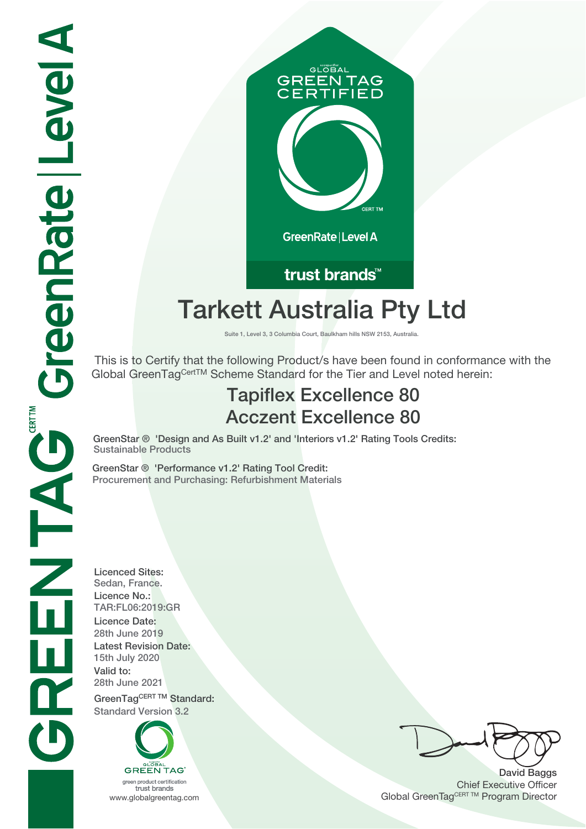

trust brands<sup>™</sup>

# **Tarkett Australia Pty Ltd**

**Suite 1, Level 3, 3 Columbia Court, Baulkham hills NSW 2153, Australia.**

 This is to Certify that the following Product/s have been found in conformance with the Global GreenTagCertTM Scheme Standard for the Tier and Level noted herein:

## **Tapiflex Excellence 80 Acczent Excellence 80**

**GreenStar ® 'Design and As Built v1.2' and 'Interiors v1.2' Rating Tools Credits: Sustainable Products**

**GreenStar ® 'Performance v1.2' Rating Tool Credit: Procurement and Purchasing: Refurbishment Materials**

**Licenced Sites: Sedan, France. Licence No.: TAR:FL06:2019:GR Licence Date: 28th June 2019 Latest Revision Date: 15th July 2020 Valid to: 28th June 2021**

GreenTagCERT TM Standard: **Standard Version 3.2**



trust brands

**David Baggs** Chief Executive Officer WWW.globalgreentag.com **Program Director** Channel Global GreenTagCERT TM Program Director